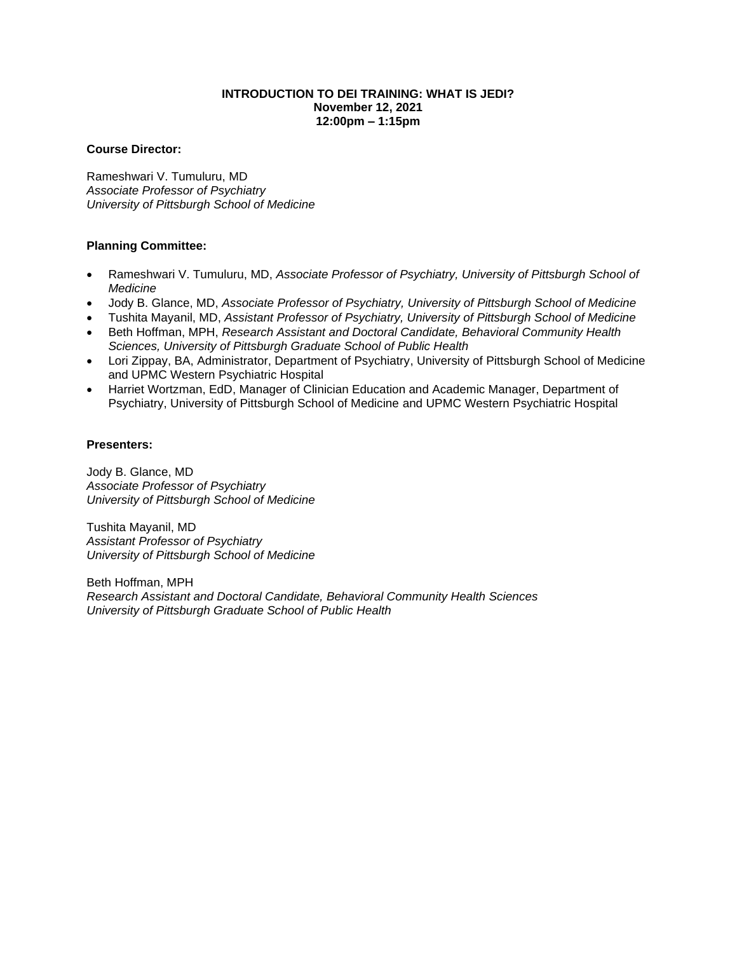## **INTRODUCTION TO DEI TRAINING: WHAT IS JEDI? November 12, 2021 12:00pm – 1:15pm**

### **Course Director:**

Rameshwari V. Tumuluru, MD *Associate Professor of Psychiatry University of Pittsburgh School of Medicine* 

# **Planning Committee:**

- Rameshwari V. Tumuluru, MD, *Associate Professor of Psychiatry, University of Pittsburgh School of Medicine*
- Jody B. Glance, MD, *Associate Professor of Psychiatry, University of Pittsburgh School of Medicine*
- Tushita Mayanil, MD, *Assistant Professor of Psychiatry, University of Pittsburgh School of Medicine*
- Beth Hoffman, MPH, *Research Assistant and Doctoral Candidate, Behavioral Community Health Sciences, University of Pittsburgh Graduate School of Public Health*
- Lori Zippay, BA, Administrator, Department of Psychiatry, University of Pittsburgh School of Medicine and UPMC Western Psychiatric Hospital
- Harriet Wortzman, EdD, Manager of Clinician Education and Academic Manager, Department of Psychiatry, University of Pittsburgh School of Medicine and UPMC Western Psychiatric Hospital

### **Presenters:**

Jody B. Glance, MD *Associate Professor of Psychiatry University of Pittsburgh School of Medicine*

Tushita Mayanil, MD *Assistant Professor of Psychiatry University of Pittsburgh School of Medicine*

Beth Hoffman, MPH *Research Assistant and Doctoral Candidate, Behavioral Community Health Sciences University of Pittsburgh Graduate School of Public Health*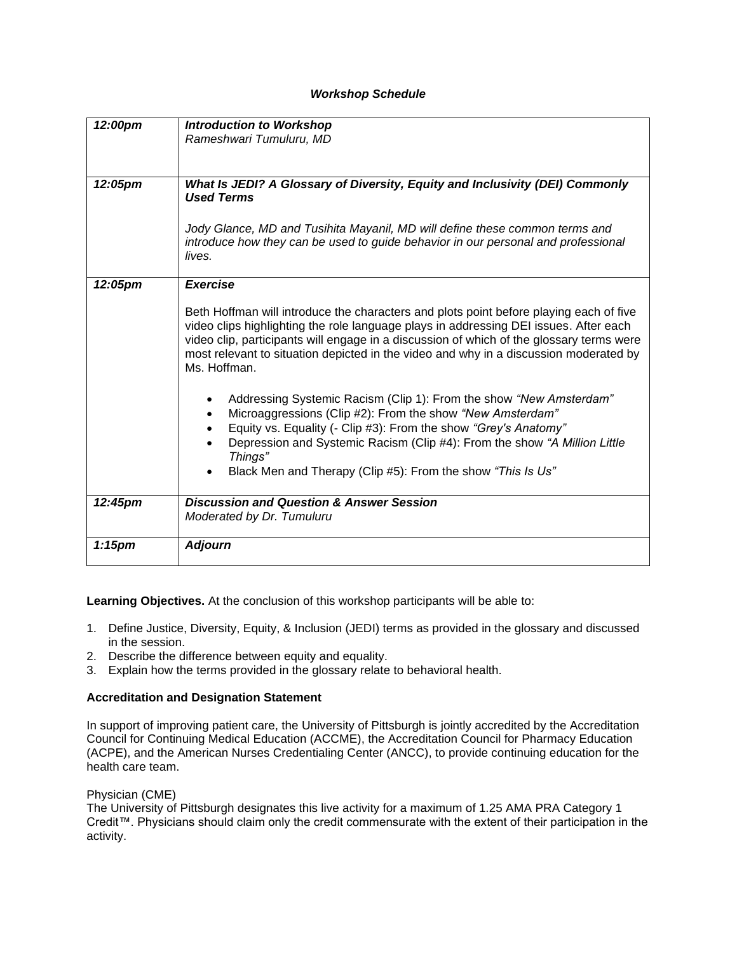### *Workshop Schedule*

| 12:00pm   | <b>Introduction to Workshop</b>                                                          |
|-----------|------------------------------------------------------------------------------------------|
|           |                                                                                          |
|           | Rameshwari Tumuluru, MD                                                                  |
|           |                                                                                          |
|           |                                                                                          |
| 12:05pm   | What Is JEDI? A Glossary of Diversity, Equity and Inclusivity (DEI) Commonly             |
|           | <b>Used Terms</b>                                                                        |
|           |                                                                                          |
|           | Jody Glance, MD and Tusihita Mayanil, MD will define these common terms and              |
|           | introduce how they can be used to guide behavior in our personal and professional        |
|           | lives.                                                                                   |
|           |                                                                                          |
| 12:05pm   | Exercise                                                                                 |
|           |                                                                                          |
|           | Beth Hoffman will introduce the characters and plots point before playing each of five   |
|           | video clips highlighting the role language plays in addressing DEI issues. After each    |
|           | video clip, participants will engage in a discussion of which of the glossary terms were |
|           | most relevant to situation depicted in the video and why in a discussion moderated by    |
|           | Ms. Hoffman.                                                                             |
|           |                                                                                          |
|           |                                                                                          |
|           | Addressing Systemic Racism (Clip 1): From the show "New Amsterdam"<br>$\bullet$          |
|           | Microaggressions (Clip #2): From the show "New Amsterdam"                                |
|           | Equity vs. Equality (- Clip #3): From the show "Grey's Anatomy"                          |
|           | Depression and Systemic Racism (Clip #4): From the show "A Million Little                |
|           | Things"                                                                                  |
|           | Black Men and Therapy (Clip #5): From the show "This Is Us"<br>$\bullet$                 |
|           |                                                                                          |
| 12:45pm   | <b>Discussion and Question &amp; Answer Session</b>                                      |
|           | Moderated by Dr. Tumuluru                                                                |
|           |                                                                                          |
| $1:15$ pm | <b>Adjourn</b>                                                                           |
|           |                                                                                          |

**Learning Objectives.** At the conclusion of this workshop participants will be able to:

- 1. Define Justice, Diversity, Equity, & Inclusion (JEDI) terms as provided in the glossary and discussed in the session.
- 2. Describe the difference between equity and equality.
- 3. Explain how the terms provided in the glossary relate to behavioral health.

### **Accreditation and Designation Statement**

In support of improving patient care, the University of Pittsburgh is jointly accredited by the Accreditation Council for Continuing Medical Education (ACCME), the Accreditation Council for Pharmacy Education (ACPE), and the American Nurses Credentialing Center (ANCC), to provide continuing education for the health care team.

### Physician (CME)

The University of Pittsburgh designates this live activity for a maximum of 1.25 AMA PRA Category 1 Credit™. Physicians should claim only the credit commensurate with the extent of their participation in the activity.